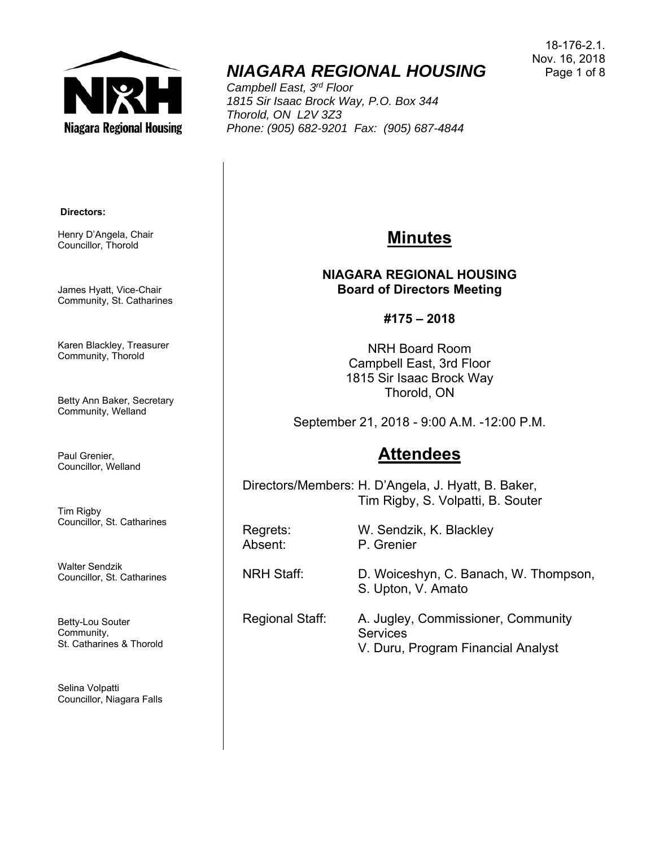

# *NIAGARA REGIONAL HOUSING*

*Campbell East, 3rd Floor 1815 Sir Isaac Brock Way, P.O. Box 344 Thorold, ON L2V 3Z3 Phone: (905) 682-9201 Fax: (905) 687-4844* 

18-176-2.1. Nov. 16, 2018 Page 1 of 8

#### **Directors:**

Henry D'Angela, Chair Councillor, Thorold

James Hyatt, Vice-Chair Community, St. Catharines

Karen Blackley, Treasurer Community, Thorold

Betty Ann Baker, Secretary Community, Welland

Paul Grenier, Councillor, Welland

Tim Rigby Councillor, St. Catharines

Walter Sendzik Councillor, St. Catharines

Betty-Lou Souter Community, St. Catharines & Thorold

Selina Volpatti Councillor, Niagara Falls

### **Minutes**

**NIAGARA REGIONAL HOUSING Board of Directors Meeting** 

**#175 – 2018** 

NRH Board Room Campbell East, 3rd Floor 1815 Sir Isaac Brock Way Thorold, ON

September 21, 2018 - 9:00 A.M. -12:00 P.M.

## **Attendees**

Directors/Members: H. D'Angela, J. Hyatt, B. Baker, Tim Rigby, S. Volpatti, B. Souter

Regrets: W. Sendzik, K. Blackley Absent: P. Grenier

NRH Staff: D. Woiceshyn, C. Banach, W. Thompson, S. Upton, V. Amato

Regional Staff: A. Jugley, Commissioner, Community **Services** V. Duru, Program Financial Analyst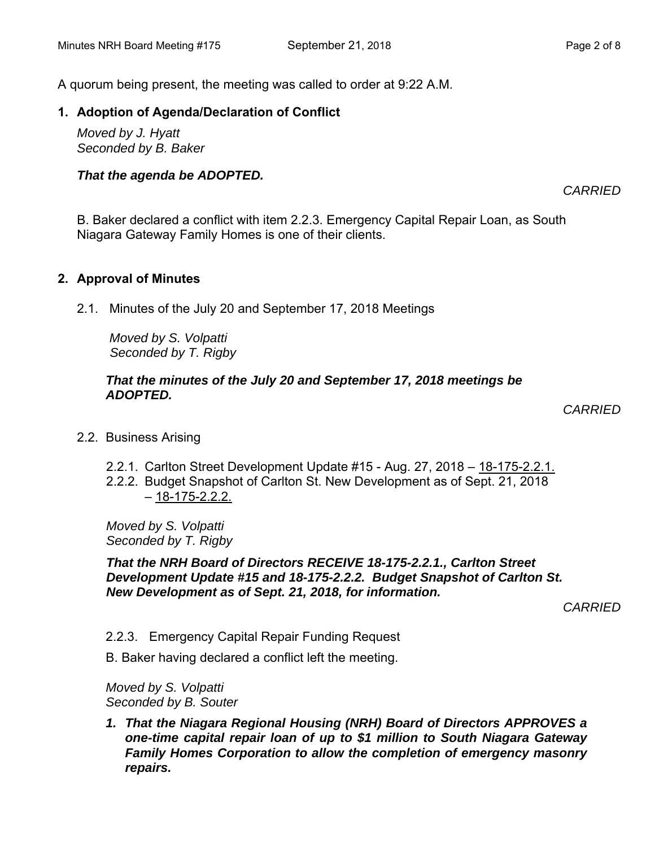A quorum being present, the meeting was called to order at 9:22 A.M.

#### **1. Adoption of Agenda/Declaration of Conflict**

*Moved by J. Hyatt Seconded by B. Baker*

#### *That the agenda be ADOPTED.*

*CARRIED* 

B. Baker declared a conflict with item 2.2.3. Emergency Capital Repair Loan, as South Niagara Gateway Family Homes is one of their clients.

#### **2. Approval of Minutes**

2.1. Minutes of the July 20 and September 17, 2018 Meetings

 *Moved by S. Volpatti Seconded by T. Rigby*

#### *That the minutes of the July 20 and September 17, 2018 meetings be ADOPTED.*

 *CARRIED* 

2.2. Business Arising

2.2.1. Carlton Street Development Update #15 - Aug. 27, 2018 - 18-175-2.2.1.

2.2.2. Budget Snapshot of Carlton St. New Development as of Sept. 21, 2018  $-18-175-2.2.2$ .

*Moved by S. Volpatti Seconded by T. Rigby* 

*That the NRH Board of Directors RECEIVE 18-175-2.2.1., Carlton Street Development Update #15 and 18-175-2.2.2. Budget Snapshot of Carlton St. New Development as of Sept. 21, 2018, for information.* 

*CARRIED* 

- 2.2.3. Emergency Capital Repair Funding Request
- B. Baker having declared a conflict left the meeting.

*Moved by S. Volpatti Seconded by B. Souter* 

*1. That the Niagara Regional Housing (NRH) Board of Directors APPROVES a one-time capital repair loan of up to \$1 million to South Niagara Gateway Family Homes Corporation to allow the completion of emergency masonry repairs.*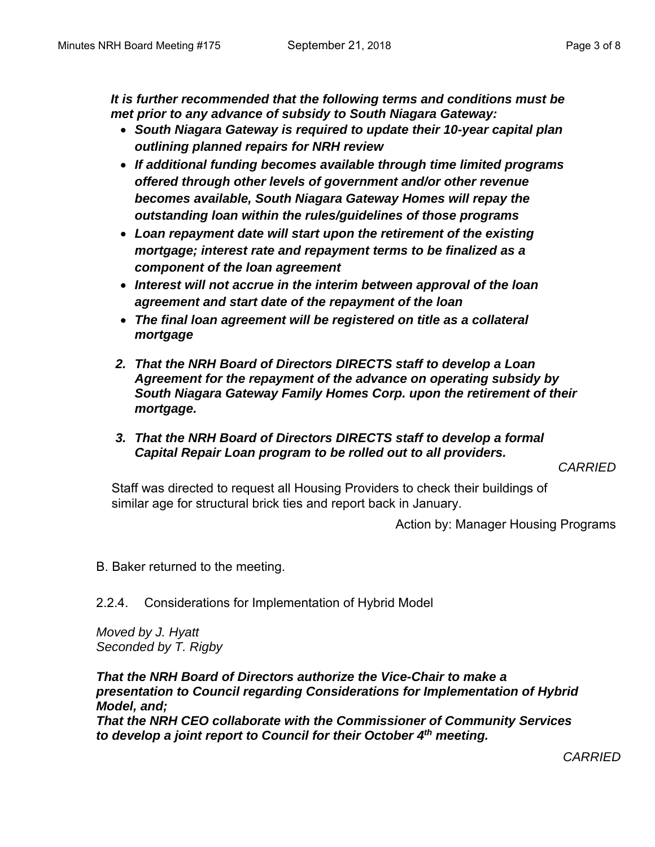*It is further recommended that the following terms and conditions must be met prior to any advance of subsidy to South Niagara Gateway:* 

- *South Niagara Gateway is required to update their 10-year capital plan outlining planned repairs for NRH review*
- *If additional funding becomes available through time limited programs offered through other levels of government and/or other revenue becomes available, South Niagara Gateway Homes will repay the outstanding loan within the rules/guidelines of those programs*
- *Loan repayment date will start upon the retirement of the existing mortgage; interest rate and repayment terms to be finalized as a component of the loan agreement*
- *Interest will not accrue in the interim between approval of the loan agreement and start date of the repayment of the loan*
- *The final loan agreement will be registered on title as a collateral mortgage*
- *2. That the NRH Board of Directors DIRECTS staff to develop a Loan Agreement for the repayment of the advance on operating subsidy by South Niagara Gateway Family Homes Corp. upon the retirement of their mortgage.*
- *3. That the NRH Board of Directors DIRECTS staff to develop a formal Capital Repair Loan program to be rolled out to all providers.*

*CARRIED* 

Staff was directed to request all Housing Providers to check their buildings of similar age for structural brick ties and report back in January.

Action by: Manager Housing Programs

B. Baker returned to the meeting.

2.2.4. Considerations for Implementation of Hybrid Model

*Moved by J. Hyatt Seconded by T. Rigby* 

*That the NRH Board of Directors authorize the Vice-Chair to make a presentation to Council regarding Considerations for Implementation of Hybrid Model, and; That the NRH CEO collaborate with the Commissioner of Community Services to develop a joint report to Council for their October 4th meeting.*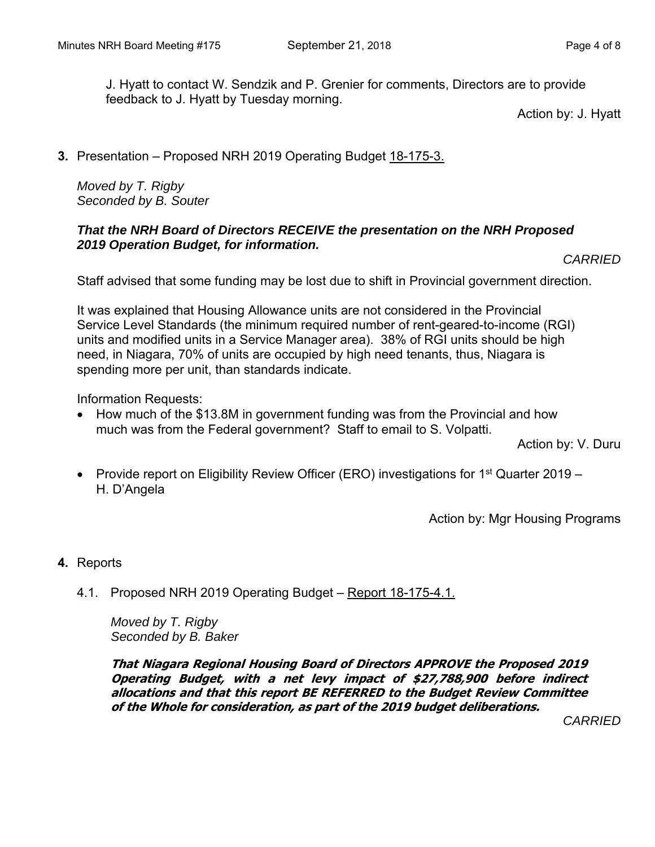J. Hyatt to contact W. Sendzik and P. Grenier for comments, Directors are to provide feedback to J. Hyatt by Tuesday morning.

Action by: J. Hyatt

**3.** Presentation – Proposed NRH 2019 Operating Budget 18-175-3.

*Moved by T. Rigby Seconded by B. Souter* 

#### *That the NRH Board of Directors RECEIVE the presentation on the NRH Proposed 2019 Operation Budget, for information.*

```
CARRIED
```
Staff advised that some funding may be lost due to shift in Provincial government direction.

It was explained that Housing Allowance units are not considered in the Provincial Service Level Standards (the minimum required number of rent-geared-to-income (RGI) units and modified units in a Service Manager area). 38% of RGI units should be high need, in Niagara, 70% of units are occupied by high need tenants, thus, Niagara is spending more per unit, than standards indicate.

Information Requests:

• How much of the \$13.8M in government funding was from the Provincial and how much was from the Federal government? Staff to email to S. Volpatti.

Action by: V. Duru

• Provide report on Eligibility Review Officer (ERO) investigations for 1<sup>st</sup> Quarter 2019 – H. D'Angela

Action by: Mgr Housing Programs

- **4.** Reports
	- 4.1. Proposed NRH 2019 Operating Budget Report 18-175-4.1.

*Moved by T. Rigby Seconded by B. Baker*

**That Niagara Regional Housing Board of Directors APPROVE the Proposed 2019 Operating Budget, with a net levy impact of \$27,788,900 before indirect allocations and that this report BE REFERRED to the Budget Review Committee of the Whole for consideration, as part of the 2019 budget deliberations.**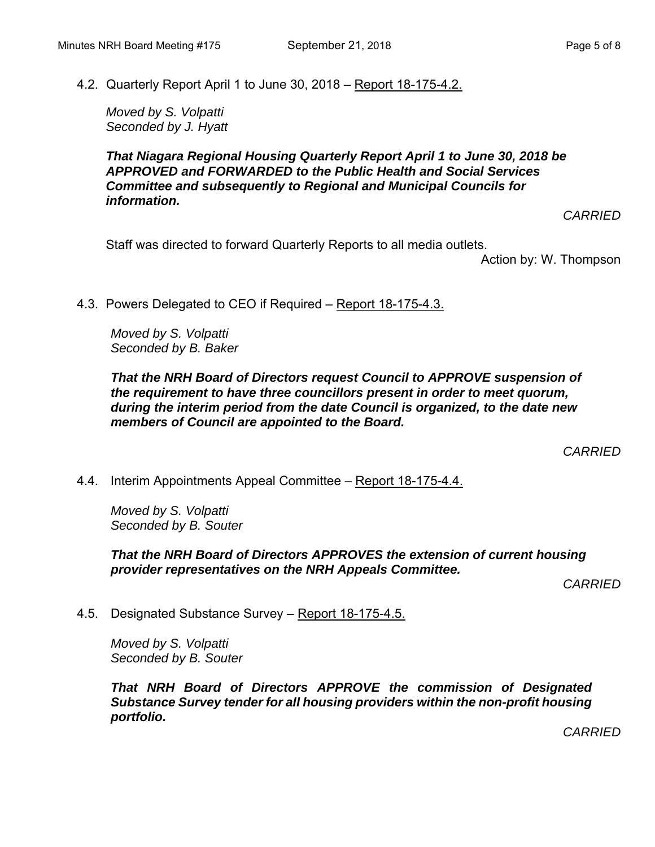4.2. Quarterly Report April 1 to June 30, 2018 – Report 18-175-4.2.

*Moved by S. Volpatti Seconded by J. Hyatt* 

*That Niagara Regional Housing Quarterly Report April 1 to June 30, 2018 be APPROVED and FORWARDED to the Public Health and Social Services Committee and subsequently to Regional and Municipal Councils for information.* 

*CARRIED* 

Staff was directed to forward Quarterly Reports to all media outlets.

Action by: W. Thompson

4.3. Powers Delegated to CEO if Required – Report 18-175-4.3.

*Moved by S. Volpatti Seconded by B. Baker* 

#### *That the NRH Board of Directors request Council to APPROVE suspension of the requirement to have three councillors present in order to meet quorum, during the interim period from the date Council is organized, to the date new members of Council are appointed to the Board.*

*CARRIED* 

4.4. Interim Appointments Appeal Committee – Report 18-175-4.4.

*Moved by S. Volpatti Seconded by B. Souter* 

*That the NRH Board of Directors APPROVES the extension of current housing provider representatives on the NRH Appeals Committee.* 

*CARRIED* 

4.5. Designated Substance Survey – Report 18-175-4.5.

*Moved by S. Volpatti Seconded by B. Souter* 

*That NRH Board of Directors APPROVE the commission of Designated Substance Survey tender for all housing providers within the non-profit housing portfolio.*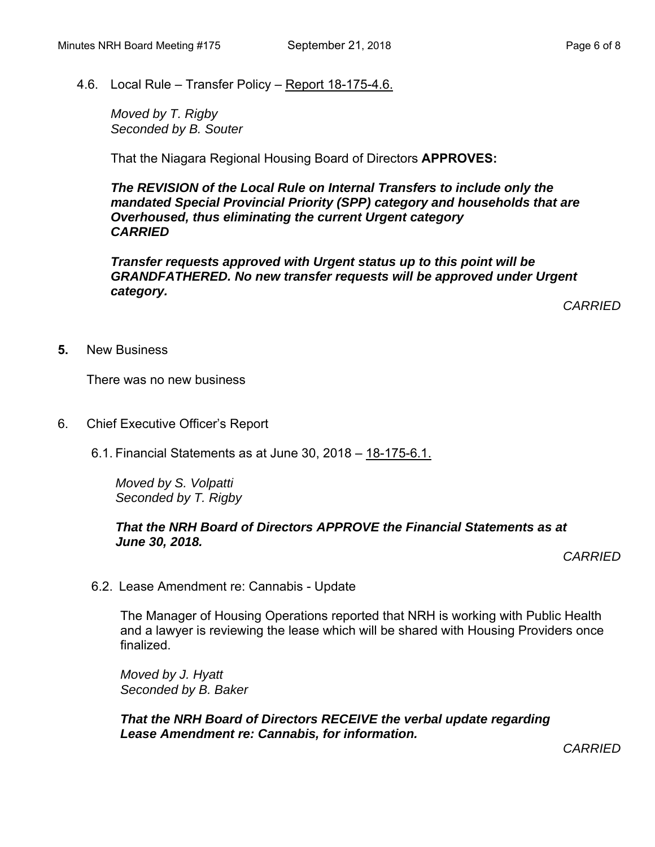4.6. Local Rule – Transfer Policy – Report 18-175-4.6.

*Moved by T. Rigby Seconded by B. Souter* 

That the Niagara Regional Housing Board of Directors **APPROVES:** 

*The REVISION of the Local Rule on Internal Transfers to include only the mandated Special Provincial Priority (SPP) category and households that are Overhoused, thus eliminating the current Urgent category CARRIED* 

*Transfer requests approved with Urgent status up to this point will be GRANDFATHERED. No new transfer requests will be approved under Urgent category.* 

*CARRIED* 

**5.** New Business

There was no new business

- 6. Chief Executive Officer's Report
	- 6.1. Financial Statements as at June 30, 2018 18-175-6.1.

*Moved by S. Volpatti Seconded by T. Rigby*

#### *That the NRH Board of Directors APPROVE the Financial Statements as at June 30, 2018.*

*CARRIED* 

6.2. Lease Amendment re: Cannabis - Update

The Manager of Housing Operations reported that NRH is working with Public Health and a lawyer is reviewing the lease which will be shared with Housing Providers once finalized.

*Moved by J. Hyatt Seconded by B. Baker* 

*That the NRH Board of Directors RECEIVE the verbal update regarding Lease Amendment re: Cannabis, for information.*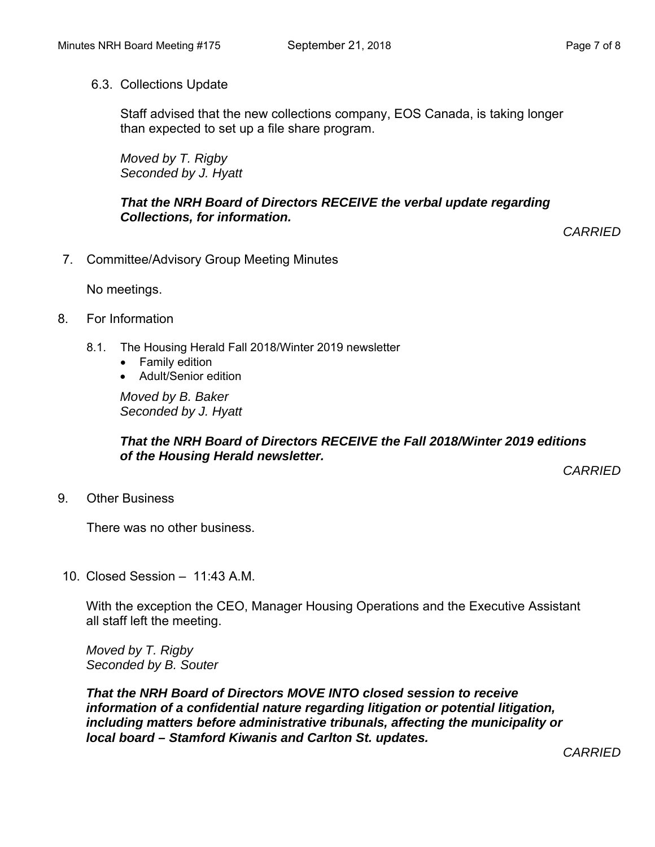#### 6.3. Collections Update

Staff advised that the new collections company, EOS Canada, is taking longer than expected to set up a file share program.

*Moved by T. Rigby Seconded by J. Hyatt* 

#### *That the NRH Board of Directors RECEIVE the verbal update regarding Collections, for information.*

*CARRIED* 

7. Committee/Advisory Group Meeting Minutes

No meetings.

- 8. For Information
	- 8.1. The Housing Herald Fall 2018/Winter 2019 newsletter
		- Family edition
		- Adult/Senior edition

*Moved by B. Baker Seconded by J. Hyatt* 

#### *That the NRH Board of Directors RECEIVE the Fall 2018/Winter 2019 editions of the Housing Herald newsletter.*

*CARRIED* 

9. Other Business

There was no other business.

10. Closed Session – 11:43 A.M.

With the exception the CEO, Manager Housing Operations and the Executive Assistant all staff left the meeting.

*Moved by T. Rigby Seconded by B. Souter* 

*That the NRH Board of Directors MOVE INTO closed session to receive information of a confidential nature regarding litigation or potential litigation, including matters before administrative tribunals, affecting the municipality or local board – Stamford Kiwanis and Carlton St. updates.*